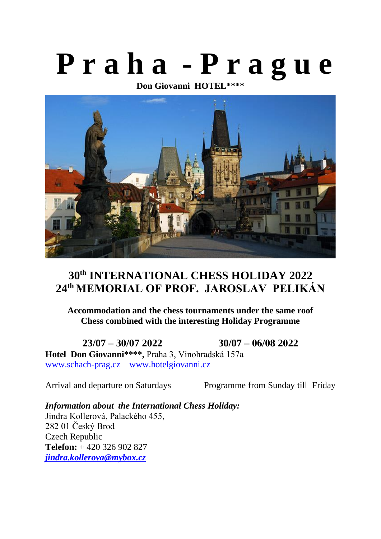# **P r a h a - P r a g u e**

**Don Giovanni HOTEL\*\*\*\***



# **30th INTERNATIONAL CHESS HOLIDAY 2022 24 th MEMORIAL OF PROF. JAROSLAV PELIKÁN**

**Accommodation and the chess tournaments under the same roof Chess combined with the interesting Holiday Programme**

**23/07 – 30/07 2022 30/07 – 06/08 2022 Hotel Don Giovanni\*\*\*\*,** Praha 3, Vinohradská 157a [www.schach-prag.cz](http://www.schach-prag.cz/) [www.hotelgiovanni.cz](http://www.hotelgiovanni.cz/)

Arrival and departure on Saturdays Programme from Sunday till Friday

*Information about the International Chess Holiday:* Jindra Kollerová, Palackého 455, 282 01 Český Brod Czech Republic **Telefon:** + 420 326 902 827 *[jindra.kollerova@mybox.cz](mailto:jindra.kollerova@mybox.cz)*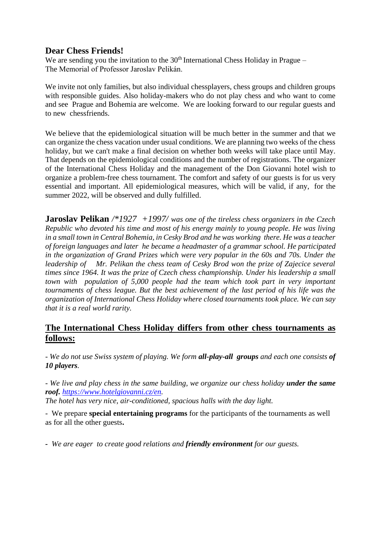# **Dear Chess Friends!**

We are sending you the invitation to the  $30<sup>th</sup>$  International Chess Holiday in Prague – The Memorial of Professor Jaroslav Pelikán.

We invite not only families, but also individual chessplayers, chess groups and children groups with responsible guides. Also holiday-makers who do not play chess and who want to come and see Prague and Bohemia are welcome. We are looking forward to our regular guests and to new chessfriends.

We believe that the epidemiological situation will be much better in the summer and that we can organize the chess vacation under usual conditions. We are planning two weeks of the chess holiday, but we can't make a final decision on whether both weeks will take place until May. That depends on the epidemiological conditions and the number of registrations. The organizer of the International Chess Holiday and the management of the Don Giovanni hotel wish to organize a problem-free chess tournament. The comfort and safety of our guests is for us very essential and important. All epidemiological measures, which will be valid, if any, for the summer 2022, will be observed and dully fulfilled.

**Jaroslav Pelikan** */\*1927 +1997/ was one of the tireless chess organizers in the Czech Republic who devoted his time and most of his energy mainly to young people. He was living in a small town in Central Bohemia, in Cesky Brod and he was working there. He was a teacher of foreign languages and later he became a headmaster of a grammar school. He participated in the organization of Grand Prizes which were very popular in the 60s and 70s. Under the leadership of Mr. Pelikan the chess team of Cesky Brod won the prize of Zajecice several times since 1964. It was the prize of Czech chess championship. Under his leadership a small town with population of 5,000 people had the team which took part in very important tournaments of chess league. But the best achievement of the last period of his life was the organization of International Chess Holiday where closed tournaments took place. We can say that it is a real world rarity.*

# **The International Chess Holiday differs from other chess tournaments as follows:**

- *We do not use Swiss system of playing. We form all-play-all groups and each one consists of 10 players.* 

- *We live and play chess in the same building, we organize our chess holiday under the same roof. [https://www.hotelgiovanni.cz/en.](https://www.hotelgiovanni.cz/en)* 

*The hotel has very nice, air-conditioned, spacious halls with the day light.*

- We prepare **special entertaining programs** for the participants of the tournaments as well as for all the other guests**.**

*- We are eager to create good relations and friendly environment for our guests.*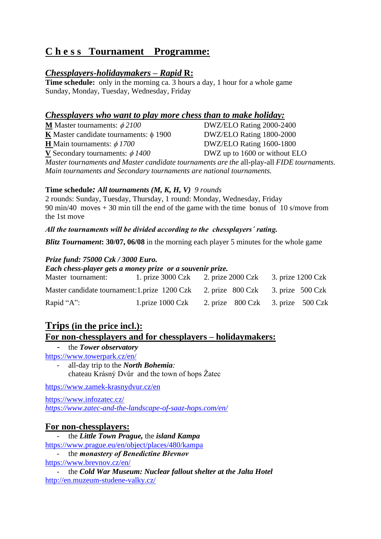# **C h e s s Tournament Programme:**

# *Chessplayers-holidaymakers – Rapid* **R:**

**Time schedule:** only in the morning ca. 3 hours a day, 1 hour for a whole game Sunday, Monday, Tuesday, Wednesday, Friday

# *Chessplayers who want to play more chess than to make holiday:*

| <b>M</b> Master tournaments: $\phi$ 2100                                                   | DWZ/ELO Rating 2000-2400      |  |
|--------------------------------------------------------------------------------------------|-------------------------------|--|
| <b>K</b> Master candidate tournaments: $\phi$ 1900                                         | DWZ/ELO Rating 1800-2000      |  |
| <b>H</b> Main tournaments: $\phi$ 1700                                                     | DWZ/ELO Rating 1600-1800      |  |
| <b>V</b> Secondary tournaments: $\phi$ 1400                                                | DWZ up to 1600 or without ELO |  |
| Master tournaments and Master candidate tournaments are the all-play-all FIDE tournaments. |                               |  |
| Main tournaments and Secondary tournaments are national tournaments.                       |                               |  |

#### **Time schedule***: All tournaments (M, K, H, V) 9 rounds*

2 rounds: Sunday, Tuesday, Thursday, 1 round: Monday, Wednesday, Friday 90 min/40 moves + 30 min till the end of the game with the time bonus of 10 s/move from the 1st move

*All the tournaments will be divided according to the chessplayers´ rating.*

*Blitz Tournament***: 30/07, 06/08** in the morning each player 5 minutes for the whole game

#### *Prize fund: 75000 Czk / 3000 Euro.*

*Each chess-player gets a money prize or a souvenir prize.* 

| Master tournament:                                                               | 1. prize 3000 Czk 2. prize 2000 Czk 3. prize 1200 Czk                            |  |  |
|----------------------------------------------------------------------------------|----------------------------------------------------------------------------------|--|--|
| Master candidate tournament: 1. prize 1200 Czk 2. prize 800 Czk 3. prize 500 Czk |                                                                                  |  |  |
| Rapid " $A$ ":                                                                   | 1.prize $1000 \text{ Czk}$ 2. prize $800 \text{ Czk}$ 3. prize $500 \text{ Czk}$ |  |  |

# **Trips (in the price incl.): For non-chessplayers and for chessplayers – holidaymakers:**

- the *Tower observatory* <https://www.towerpark.cz/en/>

- all-day trip to the *North Bohemia:*  chateau Krásný Dvůr and the town of hops Žatec

<https://www.zamek-krasnydvur.cz/en>

<https://www.infozatec.cz/> *<https://www.zatec-and-the-landscape-of-saaz-hops.com/en/>*

#### **For non-chessplayers:**

- the *Little Town Prague,* the *island Kampa* <https://www.prague.eu/en/object/places/480/kampa> - the *monastery of Benedictine Břevnov* <https://www.brevnov.cz/en/>

- the *Cold War Museum: Nuclear fallout shelter at the Jalta Hotel* <http://en.muzeum-studene-valky.cz/>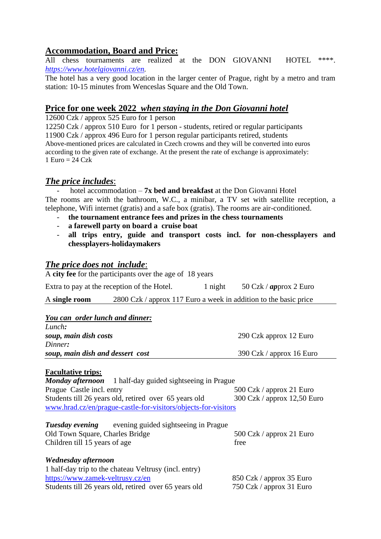# **Accommodation, Board and Price:**

All chess tournaments are realized at the DON GIOVANNI HOTEL \*\*\*\*. *[https://www.hotelgiovanni.cz/en.](https://www.hotelgiovanni.cz/en)* 

The hotel has a very good location in the larger center of Prague, right by a metro and tram station: 10-15 minutes from Wenceslas Square and the Old Town.

# **Price for one week 2022** *when staying in the Don Giovanni hotel*

12600 Czk / approx 525 Euro for 1 person

12250 Czk / approx 510 Euro for 1 person - students, retired or regular participants 11900 Czk / approx 496 Euro for 1 person regular participants retired, students Above-mentioned prices are calculated in Czech crowns and they will be converted into euros according to the given rate of exchange. At the present the rate of exchange is approximately: 1 Euro =  $24 \text{ Czk}$ 

# *The price includes*:

hotel accommodation – **7x bed and breakfast** at the Don Giovanni Hotel The rooms are with the bathroom, W.C., a minibar, a TV set with satellite reception, a telephone, Wifi internet (gratis) and a safe box (gratis). The rooms are air-conditioned.

- **the tournament entrance fees and prizes in the chess tournaments**
- **a farewell party on board a cruise boat**
- **all trips entry, guide and transport costs incl. for non-chessplayers and chessplayers-holidaymakers**

# *The price does not include*:

A **city fee** for the participants over the age of 18 years

| Extra to pay at the reception of the Hotel. | 1 night | 50 Czk / $approx 2 Euro$ |
|---------------------------------------------|---------|--------------------------|
|---------------------------------------------|---------|--------------------------|

A **single room** 2800 Czk / approx 117 Euro a week in addition to the basic price

| You can order lunch and dinner:  |                          |
|----------------------------------|--------------------------|
| Lunch:                           |                          |
| soup, main dish costs            | 290 Czk approx 12 Euro   |
| Dinner:                          |                          |
| soup, main dish and dessert cost | 390 Czk / approx 16 Euro |

#### **Facultative trips:**

*Monday afternoon* 1 half-day guided sightseeing in Prague Prague Castle incl. entry 500 Czk / approx 21 Euro Students till 26 years old, retired over 65 years old 300 Czk / approx 12,50 Euro [www.hrad.cz/en/prague-castle-for-visitors/objects-for-visitors](http://www.hrad.cz/en/prague-castle-for-visitors/objects-for-visitors)

| Tuesday evening                 | evening guided sightseeing in Prague |                          |
|---------------------------------|--------------------------------------|--------------------------|
| Old Town Square, Charles Bridge |                                      | 500 Czk / approx 21 Euro |
| Children till 15 years of age   |                                      | free                     |

| Wednesday afternoon                                   |                          |
|-------------------------------------------------------|--------------------------|
| 1 half-day trip to the chateau Veltrusy (incl. entry) |                          |
| https://www.zamek-veltrusy.cz/en                      | 850 Czk / approx 35 Euro |
| Students till 26 years old, retired over 65 years old | 750 Czk / approx 31 Euro |